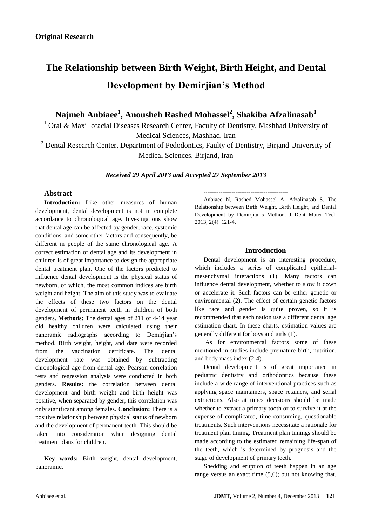# **The Relationship between Birth Weight, Birth Height, and Dental Development by Demirjian's Method**

**Najmeh Anbiaee<sup>1</sup> , Anousheh Rashed Mohassel<sup>2</sup> , Shakiba Afzalinasab<sup>1</sup>**

<sup>1</sup> Oral & Maxillofacial Diseases Research Center, Faculty of Dentistry, Mashhad University of Medical Sciences, Mashhad, Iran

<sup>2</sup> Dental Research Center, Department of Pedodontics, Faulty of Dentistry, Birjand University of Medical Sciences, Birjand, Iran

*Received 29 April 2013 and Accepted 27 September 2013*

## **Abstract**

**Introduction:** Like other measures of human development, dental development is not in complete accordance to chronological age. Investigations show that dental age can be affected by gender, race, systemic conditions, and some other factors and consequently, be different in people of the same chronological age. A correct estimation of dental age and its development in children is of great importance to design the appropriate dental treatment plan. One of the factors predicted to influence dental development is the physical status of newborn, of which, the most common indices are birth weight and height. The aim of this study was to evaluate the effects of these two factors on the dental development of permanent teeth in children of both genders. **Methods:** The dental ages of 211 of 4-14 year old healthy children were calculated using their panoramic radiographs according to Demirjian's method. Birth weight, height, and date were recorded from the vaccination certificate. The dental development rate was obtained by subtracting chronological age from dental age. Pearson correlation tests and regression analysis were conducted in both genders. **Results:** the correlation between dental development and birth weight and birth height was positive, when separated by gender; this correlation was only significant among females. **Conclusion:** There is a positive relationship between physical status of newborn and the development of permanent teeth. This should be taken into consideration when designing dental treatment plans for children.

**Key words:** Birth weight, dental development, panoramic.

--------------------------------------------- Anbiaee N, Rashed Mohassel A, Afzalinasab S. The Relationship between Birth Weight, Birth Height, and Dental Development by Demirjian's Method. J Dent Mater Tech 2013; 2(4): 121-4.

## **Introduction**

Dental development is an interesting procedure, which includes a series of complicated epithelialmesenchymal interactions (1). Many factors can influence dental development, whether to slow it down or accelerate it. Such factors can be either genetic or environmental (2). The effect of certain genetic factors like race and gender is quite proven, so it is recommended that each nation use a different dental age estimation chart. In these charts, estimation values are generally different for boys and girls (1).

As for environmental factors some of these mentioned in studies include premature birth, nutrition, and body mass index (2-4).

Dental development is of great importance in pediatric dentistry and orthodontics because these include a wide range of interventional practices such as applying space maintainers, space retainers, and serial extractions. Also at times decisions should be made whether to extract a primary tooth or to survive it at the expense of complicated, time consuming, questionable treatments. Such interventions necessitate a rationale for treatment plan timing. Treatment plan timings should be made according to the estimated remaining life-span of the teeth, which is determined by prognosis and the stage of development of primary teeth.

Shedding and eruption of teeth happen in an age range versus an exact time (5,6); but not knowing that,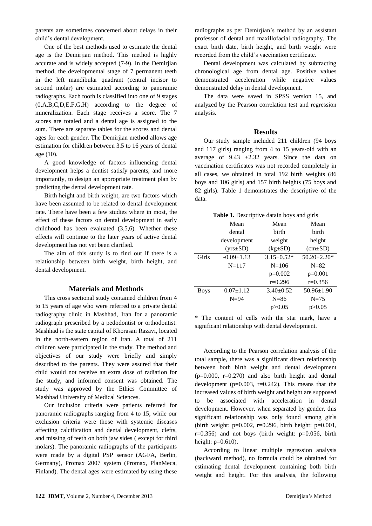parents are sometimes concerned about delays in their child's dental development.

One of the best methods used to estimate the dental age is the Demirjian method. This method is highly accurate and is widely accepted (7-9). In the Demirjian method, the developmental stage of 7 permanent teeth in the left mandibular quadrant (central incisor to second molar) are estimated according to panoramic radiographs. Each tooth is classified into one of 9 stages (0,A,B,C,D,E,F,G,H) according to the degree of mineralization. Each stage receives a score. The 7 scores are totaled and a dental age is assigned to the sum. There are separate tables for the scores and dental ages for each gender. The Demirjian method allows age estimation for children between 3.5 to 16 years of dental age (10).

A good knowledge of factors influencing dental development helps a dentist satisfy parents, and more importantly, to design an appropriate treatment plan by predicting the dental development rate.

Birth height and birth weight, are two factors which have been assumed to be related to dental development rate. There have been a few studies where in most, the effect of these factors on dental development in early childhood has been evaluated (3,5,6). Whether these effects will continue to the later years of active dental development has not yet been clarified.

The aim of this study is to find out if there is a relationship between birth weight, birth height, and dental development.

#### **Materials and Methods**

This cross sectional study contained children from 4 to 15 years of age who were referred to a private dental radiography clinic in Mashhad, Iran for a panoramic radiograph prescribed by a pedodontist or orthodontist. Mashhad is the state capital of Khorasan Razavi, located in the north-eastern region of Iran. A total of 211 children were participated in the study. The method and objectives of our study were briefly and simply described to the parents. They were assured that their child would not receive an extra dose of radiation for the study, and informed consent was obtained. The study was approved by the Ethics Committee of Mashhad University of Medical Sciences.

Our inclusion criteria were patients referred for panoramic radiographs ranging from 4 to 15, while our exclusion criteria were those with systemic diseases affecting calcification and dental development, clefts, and missing of teeth on both jaw sides ( except for third molars). The panoramic radiographs of the participants were made by a digital PSP sensor (AGFA, Berlin, Germany), Promax 2007 system (Promax, PlanMeca, Finland). The dental ages were estimated by using these

radiographs as per Demirjian's method by an assistant professor of dental and maxillofacial radiography. The exact birth date, birth height, and birth weight were recorded from the child's vaccination certificate.

Dental development was calculated by subtracting chronological age from dental age. Positive values demonstrated acceleration while negative values demonstrated delay in dental development.

The data were saved in SPSS version 15, and analyzed by the Pearson correlation test and regression analysis.

### **Results**

Our study sample included 211 children (94 boys and 117 girls) ranging from 4 to 15 years-old with an average of  $9.43 \pm 2.32$  years. Since the data on vaccination certificates was not recorded completely in all cases, we obtained in total 192 birth weights (86 boys and 106 girls) and 157 birth heights (75 boys and 82 girls). Table 1 demonstrates the descriptive of the data.

| Table 1. Descriptive datain boys and girls |  |  |
|--------------------------------------------|--|--|
|                                            |  |  |

|             | Mean             | Mean             | Mean              |
|-------------|------------------|------------------|-------------------|
|             | dental           | birth            | birth             |
|             | development      | weight           | height            |
|             | $(yrs \pm SD)$   | $(kg \pm SD)$    | $(cm\pm SD)$      |
| Girls       | $-0.09 \pm 1.13$ | $3.15 \pm 0.52*$ | $50.20 \pm 2.20*$ |
|             | $N = 117$        | $N = 106$        | $N = 82$          |
|             |                  | $p=0.002$        | $p=0.001$         |
|             |                  | $r=0.296$        | $r=0.356$         |
| <b>Boys</b> | $0.07 \pm 1.12$  | $3.40+0.52$      | $50.96 \pm 1.90$  |
|             | $N=94$           | $N=86$           | $N=75$            |
|             |                  | p > 0.05         | p > 0.05          |

\* The content of cells with the star mark, have a significant relationship with dental development.

According to the Pearson correlation analysis of the total sample, there was a significant direct relationship between both birth weight and dental development  $(p=0.000, r=0.270)$  and also birth height and dental development ( $p=0.003$ ,  $r=0.242$ ). This means that the increased values of birth weight and height are supposed to be associated with acceleration in dental development. However, when separated by gender, this significant relationship was only found among girls (birth weight: p=0.002, r=0.296, birth height: p=0.001,  $r=0.356$ ) and not boys (birth weight:  $p=0.056$ , birth height:  $p=0.610$ ).

According to linear multiple regression analysis (backward method), no formula could be obtained for estimating dental development containing both birth weight and height. For this analysis, the following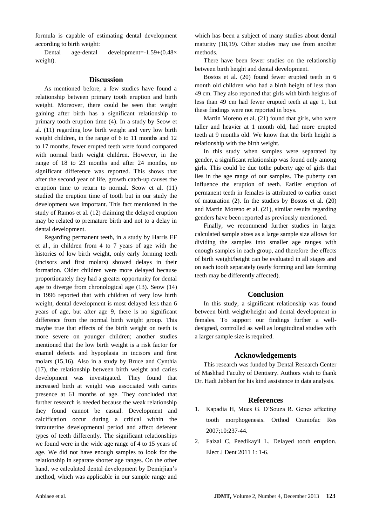formula is capable of estimating dental development according to birth weight:

Dental age-dental development=-1.59+(0.48× weight).

#### **Discussion**

As mentioned before, a few studies have found a relationship between primary tooth eruption and birth weight. Moreover, there could be seen that weight gaining after birth has a significant relationship to primary tooth eruption time (4). In a study by Seow et al. (11) regarding low birth weight and very low birth weight children, in the range of 6 to 11 months and 12 to 17 months, fewer erupted teeth were found compared with normal birth weight children. However, in the range of 18 to 23 months and after 24 months, no significant difference was reported. This shows that after the second year of life, growth catch-up causes the eruption time to return to normal. Seow et al. (11) studied the eruption time of tooth but in our study the development was important. This fact mentioned in the study of Ramos et al. (12) claiming the delayed eruption may be related to premature birth and not to a delay in dental development.

Regarding permanent teeth, in a study by Harris EF et al., in children from 4 to 7 years of age with the histories of low birth weight, only early forming teeth (incisors and first molars) showed delays in their formation. Older children were more delayed because proportionately they had a greater opportunity for dental age to diverge from chronological age (13). Seow (14) in 1996 reported that with children of very low birth weight, dental development is most delayed less than 6 years of age, but after age 9, there is no significant difference from the normal birth weight group. This maybe true that effects of the birth weight on teeth is more severe on younger children; another studies mentioned that the low birth weight is a risk factor for enamel defects and hypoplasia in incisors and first molars (15,16). Also in a study by Bruce and Cynthia (17), the relationship between birth weight and caries development was investigated. They found that increased birth at weight was associated with caries presence at 61 months of age. They concluded that further research is needed because the weak relationship they found cannot be casual. Development and calcification occur during a critical within the intrauterine developmental period and affect deferent types of teeth differently. The significant relationships we found were in the wide age range of 4 to 15 years of age. We did not have enough samples to look for the relationship in separate shorter age ranges. On the other hand, we calculated dental development by Demirjian's method, which was applicable in our sample range and

which has been a subject of many studies about dental maturity (18,19). Other studies may use from another methods.

There have been fewer studies on the relationship between birth height and dental development.

Bostos et al. (20) found fewer erupted teeth in 6 month old children who had a birth height of less than 49 cm. They also reported that girls with birth heights of less than 49 cm had fewer erupted teeth at age 1, but these findings were not reported in boys.

Martin Moreno et al. (21) found that girls, who were taller and heavier at 1 month old, had more erupted teeth at 9 months old. We know that the birth height is relationship with the birth weight.

In this study when samples were separated by gender, a significant relationship was found only among girls. This could be due tothe puberty age of girls that lies in the age range of our samples. The puberty can influence the eruption of teeth. Earlier eruption of permanent teeth in females is attributed to earlier onset of maturation (2). In the studies by Bostos et al. (20) and Martin Moreno et al. (21), similar results regarding genders have been reported as previously mentioned.

Finally, we recommend further studies in larger calculated sample sizes as a large sample size allows for dividing the samples into smaller age ranges with enough samples in each group, and therefore the effects of birth weight/height can be evaluated in all stages and on each tooth separately (early forming and late forming teeth may be differently affected).

## **Conclusion**

In this study, a significant relationship was found between birth weight/height and dental development in females. To support our findings further a welldesigned, controlled as well as longitudinal studies with a larger sample size is required.

#### **Acknowledgements**

This research was funded by Dental Research Center of Mashhad Faculty of Dentistry. Authors wish to thank Dr. Hadi Jabbari for his kind assistance in data analysis.

#### **References**

- 1. Kapadia H, Mues G. D'Souza R. Genes affecting tooth morphogenesis. Orthod Craniofac Res 2007;10:237-44.
- 2. Faizal C, Peedikayil L. Delayed tooth eruption. Elect J Dent 2011 1: 1-6.